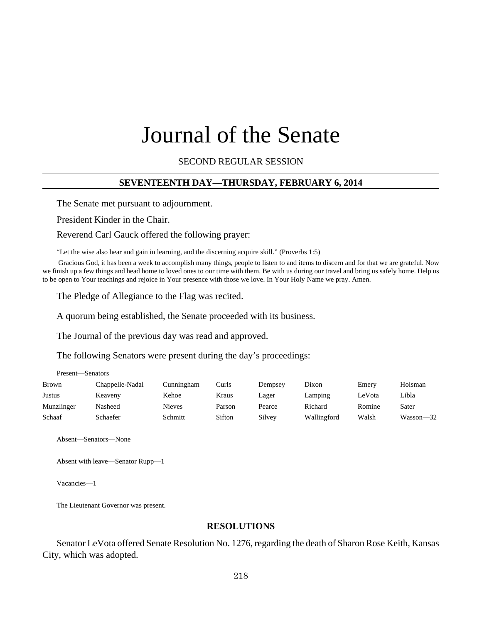# Journal of the Senate

SECOND REGULAR SESSION

### **SEVENTEENTH DAY—THURSDAY, FEBRUARY 6, 2014**

The Senate met pursuant to adjournment.

President Kinder in the Chair.

Reverend Carl Gauck offered the following prayer:

"Let the wise also hear and gain in learning, and the discerning acquire skill." (Proverbs 1:5)

 Gracious God, it has been a week to accomplish many things, people to listen to and items to discern and for that we are grateful. Now we finish up a few things and head home to loved ones to our time with them. Be with us during our travel and bring us safely home. Help us to be open to Your teachings and rejoice in Your presence with those we love. In Your Holy Name we pray. Amen.

The Pledge of Allegiance to the Flag was recited.

A quorum being established, the Senate proceeded with its business.

The Journal of the previous day was read and approved.

The following Senators were present during the day's proceedings:

| Brown      | Chappelle-Nadal | Cunningham | Curls  | Dempsey | Dixon       | Emery  | Holsman   |
|------------|-----------------|------------|--------|---------|-------------|--------|-----------|
| Justus     | Keaveny         | Kehoe      | Kraus  | Lager   | Lamping     | LeVota | Libla     |
| Munzlinger | Nasheed         | Nieves     | Parson | Pearce  | Richard     | Romine | Sater     |
| Schaaf     | Schaefer        | Schmitt    | Sifton | Silvey  | Wallingford | Walsh  | Wasson-32 |

Absent—Senators—None

Present—Senators

Absent with leave—Senator Rupp—1

Vacancies—1

The Lieutenant Governor was present.

### **RESOLUTIONS**

Senator LeVota offered Senate Resolution No. 1276, regarding the death of Sharon Rose Keith, Kansas City, which was adopted.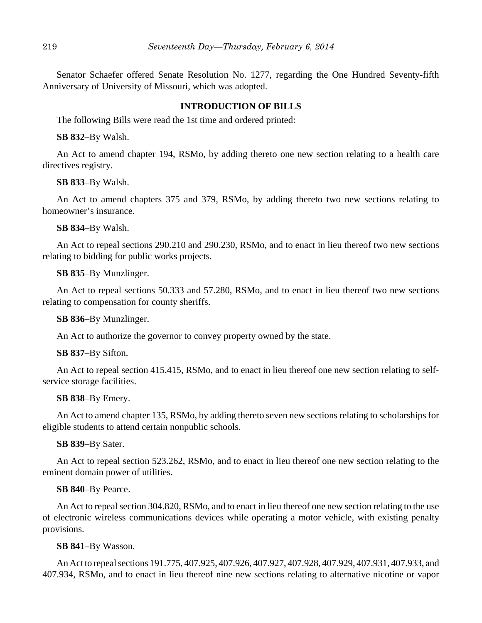Senator Schaefer offered Senate Resolution No. 1277, regarding the One Hundred Seventy-fifth Anniversary of University of Missouri, which was adopted.

### **INTRODUCTION OF BILLS**

The following Bills were read the 1st time and ordered printed:

**SB 832**–By Walsh.

An Act to amend chapter 194, RSMo, by adding thereto one new section relating to a health care directives registry.

**SB 833**–By Walsh.

An Act to amend chapters 375 and 379, RSMo, by adding thereto two new sections relating to homeowner's insurance.

**SB 834**–By Walsh.

An Act to repeal sections 290.210 and 290.230, RSMo, and to enact in lieu thereof two new sections relating to bidding for public works projects.

**SB 835**–By Munzlinger.

An Act to repeal sections 50.333 and 57.280, RSMo, and to enact in lieu thereof two new sections relating to compensation for county sheriffs.

**SB 836**–By Munzlinger.

An Act to authorize the governor to convey property owned by the state.

**SB 837**–By Sifton.

An Act to repeal section 415.415, RSMo, and to enact in lieu thereof one new section relating to selfservice storage facilities.

#### **SB 838**–By Emery.

An Act to amend chapter 135, RSMo, by adding thereto seven new sections relating to scholarships for eligible students to attend certain nonpublic schools.

#### **SB 839**–By Sater.

An Act to repeal section 523.262, RSMo, and to enact in lieu thereof one new section relating to the eminent domain power of utilities.

#### **SB 840**–By Pearce.

An Act to repeal section 304.820, RSMo, and to enact in lieu thereof one new section relating to the use of electronic wireless communications devices while operating a motor vehicle, with existing penalty provisions.

#### **SB 841**–By Wasson.

An Act to repeal sections 191.775, 407.925, 407.926, 407.927, 407.928, 407.929, 407.931, 407.933, and 407.934, RSMo, and to enact in lieu thereof nine new sections relating to alternative nicotine or vapor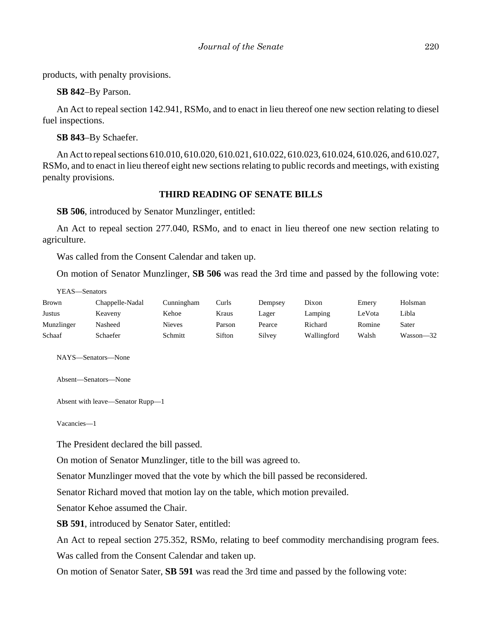products, with penalty provisions.

**SB 842**–By Parson.

An Act to repeal section 142.941, RSMo, and to enact in lieu thereof one new section relating to diesel fuel inspections.

**SB 843**–By Schaefer.

An Act to repeal sections 610.010, 610.020, 610.021, 610.022, 610.023, 610.024, 610.026, and 610.027, RSMo, and to enact in lieu thereof eight new sections relating to public records and meetings, with existing penalty provisions.

# **THIRD READING OF SENATE BILLS**

**SB 506**, introduced by Senator Munzlinger, entitled:

An Act to repeal section 277.040, RSMo, and to enact in lieu thereof one new section relating to agriculture.

Was called from the Consent Calendar and taken up.

On motion of Senator Munzlinger, **SB 506** was read the 3rd time and passed by the following vote:

YEAS—Senators Brown Chappelle-Nadal Cunningham Curls Dempsey Dixon Emery Holsman Justus Keaveny Kehoe Kraus Lager Lamping LeVota Libla Munzlinger Nasheed Nieves Parson Pearce Richard Romine Sater Schaaf Schaefer Schmitt Sifton Silvey Wallingford Walsh Wasson—32

NAYS—Senators—None

Absent—Senators—None

Absent with leave—Senator Rupp—1

Vacancies—1

The President declared the bill passed.

On motion of Senator Munzlinger, title to the bill was agreed to.

Senator Munzlinger moved that the vote by which the bill passed be reconsidered.

Senator Richard moved that motion lay on the table, which motion prevailed.

Senator Kehoe assumed the Chair.

**SB 591**, introduced by Senator Sater, entitled:

An Act to repeal section 275.352, RSMo, relating to beef commodity merchandising program fees.

Was called from the Consent Calendar and taken up.

On motion of Senator Sater, **SB 591** was read the 3rd time and passed by the following vote: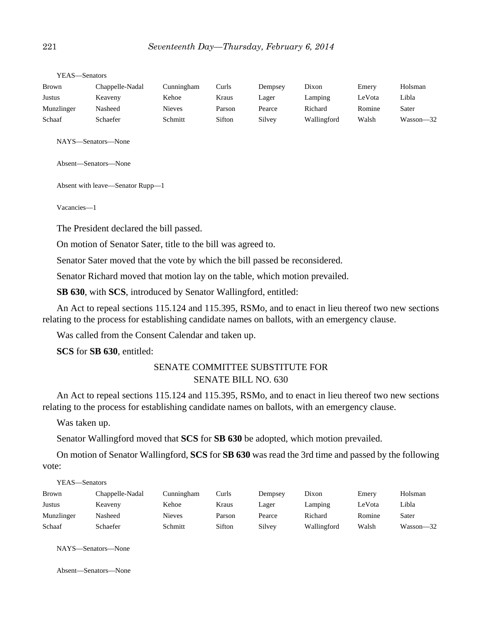| Holsman   |
|-----------|
|           |
| Libla     |
| Sater     |
| Wasson-32 |
|           |

YEAS—Senators

NAYS—Senators—None

Absent—Senators—None

Absent with leave—Senator Rupp—1

Vacancies—1

The President declared the bill passed.

On motion of Senator Sater, title to the bill was agreed to.

Senator Sater moved that the vote by which the bill passed be reconsidered.

Senator Richard moved that motion lay on the table, which motion prevailed.

**SB 630**, with **SCS**, introduced by Senator Wallingford, entitled:

An Act to repeal sections 115.124 and 115.395, RSMo, and to enact in lieu thereof two new sections relating to the process for establishing candidate names on ballots, with an emergency clause.

Was called from the Consent Calendar and taken up.

**SCS** for **SB 630**, entitled:

# SENATE COMMITTEE SUBSTITUTE FOR SENATE BILL NO. 630

An Act to repeal sections 115.124 and 115.395, RSMo, and to enact in lieu thereof two new sections relating to the process for establishing candidate names on ballots, with an emergency clause.

Was taken up.

Senator Wallingford moved that **SCS** for **SB 630** be adopted, which motion prevailed.

On motion of Senator Wallingford, **SCS** for **SB 630** was read the 3rd time and passed by the following vote:

| YEAS—Senators   |               |        |         |             |        |           |
|-----------------|---------------|--------|---------|-------------|--------|-----------|
| Chappelle-Nadal | Cunningham    | Curls  | Dempsey | Dixon       | Emery  | Holsman   |
| Keaveny         | Kehoe         | Kraus  | Lager   | Lamping     | LeVota | Libla     |
| Nasheed         | <b>Nieves</b> | Parson | Pearce  | Richard     | Romine | Sater     |
| Schaefer        | Schmitt       | Sifton | Silvey  | Wallingford | Walsh  | Wasson-32 |
|                 |               |        |         |             |        |           |

NAYS—Senators—None

Absent—Senators—None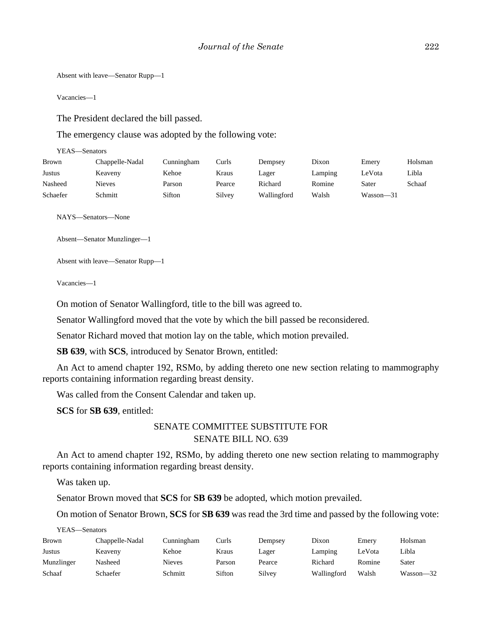Absent with leave—Senator Rupp—1

Vacancies—1

The President declared the bill passed.

The emergency clause was adopted by the following vote:

YEAS—Senators

| Brown    | Chappelle-Nadal | Cunningham | Curls  | Dempsey     | Dixon   | Emery     | Holsman |
|----------|-----------------|------------|--------|-------------|---------|-----------|---------|
| Justus   | Keaveny         | Kehoe      | Kraus  | Lager       | Lamping | LeVota    | Libla   |
| Nasheed  | <b>Nieves</b>   | Parson     | Pearce | Richard     | Romine  | Sater     | Schaaf  |
| Schaefer | Schmitt         | Sifton     | Silvey | Wallingford | Walsh   | Wasson-31 |         |

NAYS—Senators—None

Absent—Senator Munzlinger—1

Absent with leave—Senator Rupp—1

Vacancies—1

On motion of Senator Wallingford, title to the bill was agreed to.

Senator Wallingford moved that the vote by which the bill passed be reconsidered.

Senator Richard moved that motion lay on the table, which motion prevailed.

**SB 639**, with **SCS**, introduced by Senator Brown, entitled:

An Act to amend chapter 192, RSMo, by adding thereto one new section relating to mammography reports containing information regarding breast density.

Was called from the Consent Calendar and taken up.

**SCS** for **SB 639**, entitled:

# SENATE COMMITTEE SUBSTITUTE FOR SENATE BILL NO. 639

An Act to amend chapter 192, RSMo, by adding thereto one new section relating to mammography reports containing information regarding breast density.

Was taken up.

Senator Brown moved that **SCS** for **SB 639** be adopted, which motion prevailed.

On motion of Senator Brown, **SCS** for **SB 639** was read the 3rd time and passed by the following vote:

YEAS—Senators

| <b>Brown</b> | Chappelle-Nadal | Cunningham | Curls  | Dempsey | Dixon       | Emerv  | Holsman   |
|--------------|-----------------|------------|--------|---------|-------------|--------|-----------|
| Justus       | Keaveny         | Kehoe      | Kraus  | Lager   | Lamping     | ∟eVota | Libla     |
| Munzlinger   | Nasheed         | Nieves     | Parson | Pearce  | Richard     | Romine | Sater     |
| Schaaf       | Schaefer        | Schmitt    | Sifton | Silvey  | Wallingford | Walsh  | Wasson—32 |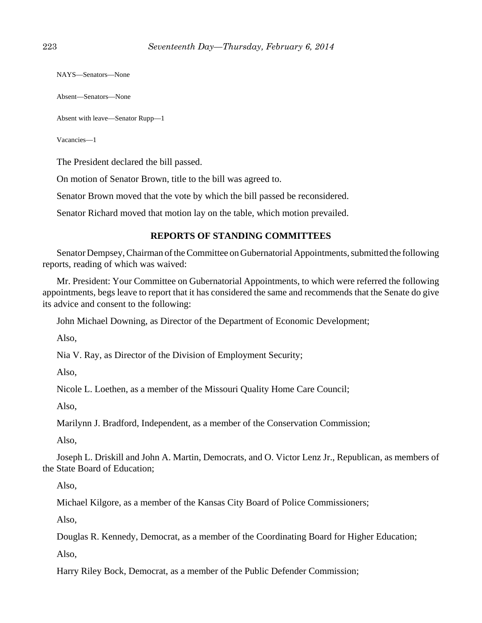NAYS—Senators—None

Absent—Senators—None

Absent with leave—Senator Rupp—1

Vacancies—1

The President declared the bill passed.

On motion of Senator Brown, title to the bill was agreed to.

Senator Brown moved that the vote by which the bill passed be reconsidered.

Senator Richard moved that motion lay on the table, which motion prevailed.

# **REPORTS OF STANDING COMMITTEES**

Senator Dempsey, Chairman of the Committee on Gubernatorial Appointments, submitted the following reports, reading of which was waived:

Mr. President: Your Committee on Gubernatorial Appointments, to which were referred the following appointments, begs leave to report that it has considered the same and recommends that the Senate do give its advice and consent to the following:

John Michael Downing, as Director of the Department of Economic Development;

Also,

Nia V. Ray, as Director of the Division of Employment Security;

Also,

Nicole L. Loethen, as a member of the Missouri Quality Home Care Council;

Also,

Marilynn J. Bradford, Independent, as a member of the Conservation Commission;

Also,

Joseph L. Driskill and John A. Martin, Democrats, and O. Victor Lenz Jr., Republican, as members of the State Board of Education;

Also,

Michael Kilgore, as a member of the Kansas City Board of Police Commissioners;

Also,

Douglas R. Kennedy, Democrat, as a member of the Coordinating Board for Higher Education;

Also,

Harry Riley Bock, Democrat, as a member of the Public Defender Commission;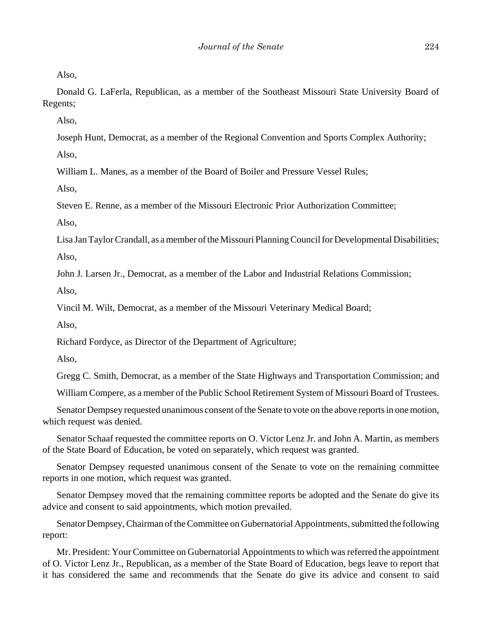Also,

Donald G. LaFerla, Republican, as a member of the Southeast Missouri State University Board of Regents;

Also,

Joseph Hunt, Democrat, as a member of the Regional Convention and Sports Complex Authority;

Also,

William L. Manes, as a member of the Board of Boiler and Pressure Vessel Rules;

Also,

Steven E. Renne, as a member of the Missouri Electronic Prior Authorization Committee;

Also,

Lisa Jan Taylor Crandall, as a member of the Missouri Planning Council for Developmental Disabilities; Also,

John J. Larsen Jr., Democrat, as a member of the Labor and Industrial Relations Commission;

Also,

Vincil M. Wilt, Democrat, as a member of the Missouri Veterinary Medical Board;

Also,

Richard Fordyce, as Director of the Department of Agriculture;

Also,

Gregg C. Smith, Democrat, as a member of the State Highways and Transportation Commission; and

William Compere, as a member of the Public School Retirement System of Missouri Board of Trustees.

Senator Dempsey requested unanimous consent of the Senate to vote on the above reports in one motion, which request was denied.

Senator Schaaf requested the committee reports on O. Victor Lenz Jr. and John A. Martin, as members of the State Board of Education, be voted on separately, which request was granted.

Senator Dempsey requested unanimous consent of the Senate to vote on the remaining committee reports in one motion, which request was granted.

Senator Dempsey moved that the remaining committee reports be adopted and the Senate do give its advice and consent to said appointments, which motion prevailed.

Senator Dempsey, Chairman of the Committee on Gubernatorial Appointments, submitted the following report:

Mr. President: Your Committee on Gubernatorial Appointments to which was referred the appointment of O. Victor Lenz Jr., Republican, as a member of the State Board of Education, begs leave to report that it has considered the same and recommends that the Senate do give its advice and consent to said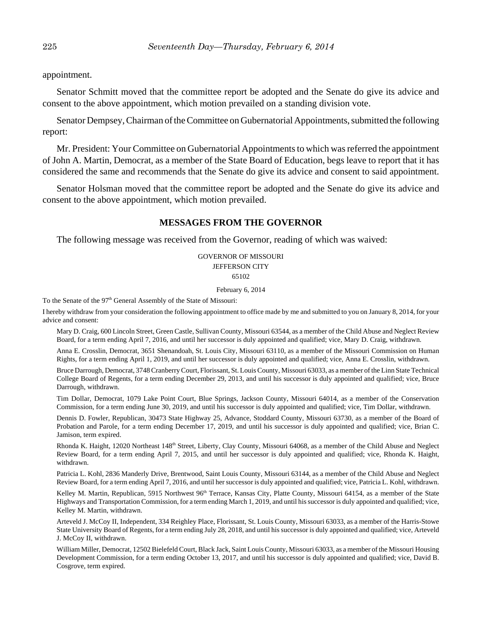appointment.

Senator Schmitt moved that the committee report be adopted and the Senate do give its advice and consent to the above appointment, which motion prevailed on a standing division vote.

Senator Dempsey, Chairman of the Committee on Gubernatorial Appointments, submitted the following report:

Mr. President: Your Committee on Gubernatorial Appointments to which was referred the appointment of John A. Martin, Democrat, as a member of the State Board of Education, begs leave to report that it has considered the same and recommends that the Senate do give its advice and consent to said appointment.

Senator Holsman moved that the committee report be adopted and the Senate do give its advice and consent to the above appointment, which motion prevailed.

### **MESSAGES FROM THE GOVERNOR**

The following message was received from the Governor, reading of which was waived:

#### GOVERNOR OF MISSOURI JEFFERSON CITY 65102

#### February 6, 2014

To the Senate of the 97<sup>th</sup> General Assembly of the State of Missouri:

I hereby withdraw from your consideration the following appointment to office made by me and submitted to you on January 8, 2014, for your advice and consent:

Mary D. Craig, 600 Lincoln Street, Green Castle, Sullivan County, Missouri 63544, as a member of the Child Abuse and Neglect Review Board, for a term ending April 7, 2016, and until her successor is duly appointed and qualified; vice, Mary D. Craig, withdrawn.

Anna E. Crosslin, Democrat, 3651 Shenandoah, St. Louis City, Missouri 63110, as a member of the Missouri Commission on Human Rights, for a term ending April 1, 2019, and until her successor is duly appointed and qualified; vice, Anna E. Crosslin, withdrawn.

Bruce Darrough, Democrat, 3748 Cranberry Court, Florissant, St. Louis County, Missouri 63033, as a member of the Linn State Technical College Board of Regents, for a term ending December 29, 2013, and until his successor is duly appointed and qualified; vice, Bruce Darrough, withdrawn.

Tim Dollar, Democrat, 1079 Lake Point Court, Blue Springs, Jackson County, Missouri 64014, as a member of the Conservation Commission, for a term ending June 30, 2019, and until his successor is duly appointed and qualified; vice, Tim Dollar, withdrawn.

Dennis D. Fowler, Republican, 30473 State Highway 25, Advance, Stoddard County, Missouri 63730, as a member of the Board of Probation and Parole, for a term ending December 17, 2019, and until his successor is duly appointed and qualified; vice, Brian C. Jamison, term expired.

Rhonda K. Haight, 12020 Northeast 148<sup>th</sup> Street, Liberty, Clay County, Missouri 64068, as a member of the Child Abuse and Neglect Review Board, for a term ending April 7, 2015, and until her successor is duly appointed and qualified; vice, Rhonda K. Haight, withdrawn.

Patricia L. Kohl, 2836 Manderly Drive, Brentwood, Saint Louis County, Missouri 63144, as a member of the Child Abuse and Neglect Review Board, for a term ending April 7, 2016, and until her successor is duly appointed and qualified; vice, Patricia L. Kohl, withdrawn.

Kelley M. Martin, Republican, 5915 Northwest 96<sup>th</sup> Terrace, Kansas City, Platte County, Missouri 64154, as a member of the State Highways and Transportation Commission, for a term ending March 1, 2019, and until his successor is duly appointed and qualified; vice, Kelley M. Martin, withdrawn.

Arteveld J. McCoy II, Independent, 334 Reighley Place, Florissant, St. Louis County, Missouri 63033, as a member of the Harris-Stowe State University Board of Regents, for a term ending July 28, 2018, and until his successor is duly appointed and qualified; vice, Arteveld J. McCoy II, withdrawn.

William Miller, Democrat, 12502 Bielefeld Court, Black Jack, Saint Louis County, Missouri 63033, as a member of the Missouri Housing Development Commission, for a term ending October 13, 2017, and until his successor is duly appointed and qualified; vice, David B. Cosgrove, term expired.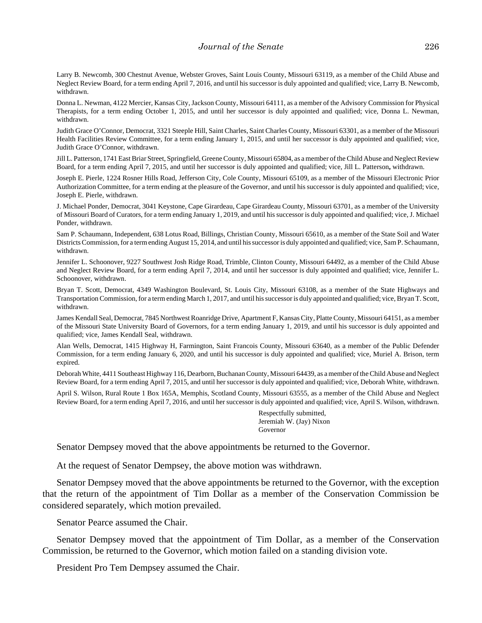Larry B. Newcomb, 300 Chestnut Avenue, Webster Groves, Saint Louis County, Missouri 63119, as a member of the Child Abuse and Neglect Review Board, for a term ending April 7, 2016, and until his successor is duly appointed and qualified; vice, Larry B. Newcomb, withdrawn.

Donna L. Newman, 4122 Mercier, Kansas City, Jackson County, Missouri 64111, as a member of the Advisory Commission for Physical Therapists, for a term ending October 1, 2015, and until her successor is duly appointed and qualified; vice, Donna L. Newman, withdrawn.

Judith Grace O'Connor, Democrat, 3321 Steeple Hill, Saint Charles, Saint Charles County, Missouri 63301, as a member of the Missouri Health Facilities Review Committee, for a term ending January 1, 2015, and until her successor is duly appointed and qualified; vice, Judith Grace O'Connor, withdrawn.

Jill L. Patterson, 1741 East Briar Street, Springfield, Greene County, Missouri 65804, as a member of the Child Abuse and Neglect Review Board, for a term ending April 7, 2015, and until her successor is duly appointed and qualified; vice, Jill L. Patterson**,** withdrawn.

Joseph E. Pierle, 1224 Rosner Hills Road, Jefferson City, Cole County, Missouri 65109, as a member of the Missouri Electronic Prior Authorization Committee, for a term ending at the pleasure of the Governor, and until his successor is duly appointed and qualified; vice, Joseph E. Pierle, withdrawn.

J. Michael Ponder, Democrat, 3041 Keystone, Cape Girardeau, Cape Girardeau County, Missouri 63701, as a member of the University of Missouri Board of Curators, for a term ending January 1, 2019, and until his successor is duly appointed and qualified; vice, J. Michael Ponder, withdrawn.

Sam P. Schaumann, Independent, 638 Lotus Road, Billings, Christian County, Missouri 65610, as a member of the State Soil and Water Districts Commission, for a term ending August 15, 2014, and until his successor is duly appointed and qualified; vice, Sam P. Schaumann, withdrawn.

Jennifer L. Schoonover, 9227 Southwest Josh Ridge Road, Trimble, Clinton County, Missouri 64492, as a member of the Child Abuse and Neglect Review Board, for a term ending April 7, 2014, and until her successor is duly appointed and qualified; vice, Jennifer L. Schoonover, withdrawn.

Bryan T. Scott, Democrat, 4349 Washington Boulevard, St. Louis City, Missouri 63108, as a member of the State Highways and Transportation Commission, for a term ending March 1, 2017, and until his successor is duly appointed and qualified; vice, Bryan T. Scott, withdrawn.

James Kendall Seal, Democrat, 7845 Northwest Roanridge Drive, Apartment F, Kansas City, Platte County, Missouri 64151, as a member of the Missouri State University Board of Governors, for a term ending January 1, 2019, and until his successor is duly appointed and qualified; vice, James Kendall Seal, withdrawn.

Alan Wells, Democrat, 1415 Highway H, Farmington, Saint Francois County, Missouri 63640, as a member of the Public Defender Commission, for a term ending January 6, 2020, and until his successor is duly appointed and qualified; vice, Muriel A. Brison, term expired.

Deborah White, 4411 Southeast Highway 116, Dearborn, Buchanan County, Missouri 64439, as a member of the Child Abuse and Neglect Review Board, for a term ending April 7, 2015, and until her successor is duly appointed and qualified; vice, Deborah White, withdrawn.

April S. Wilson, Rural Route 1 Box 165A, Memphis, Scotland County, Missouri 63555, as a member of the Child Abuse and Neglect Review Board, for a term ending April 7, 2016, and until her successor is duly appointed and qualified; vice, April S. Wilson, withdrawn.

> Respectfully submitted, Jeremiah W. (Jay) Nixon Governor

Senator Dempsey moved that the above appointments be returned to the Governor.

At the request of Senator Dempsey, the above motion was withdrawn.

Senator Dempsey moved that the above appointments be returned to the Governor, with the exception that the return of the appointment of Tim Dollar as a member of the Conservation Commission be considered separately, which motion prevailed.

Senator Pearce assumed the Chair.

Senator Dempsey moved that the appointment of Tim Dollar, as a member of the Conservation Commission, be returned to the Governor, which motion failed on a standing division vote.

President Pro Tem Dempsey assumed the Chair.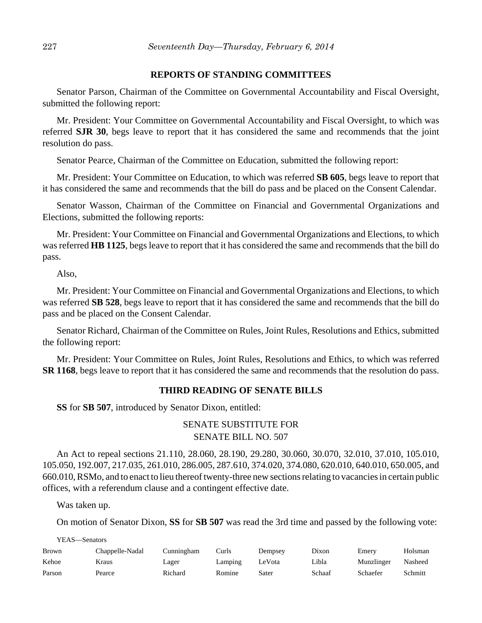### **REPORTS OF STANDING COMMITTEES**

Senator Parson, Chairman of the Committee on Governmental Accountability and Fiscal Oversight, submitted the following report:

Mr. President: Your Committee on Governmental Accountability and Fiscal Oversight, to which was referred **SJR 30**, begs leave to report that it has considered the same and recommends that the joint resolution do pass.

Senator Pearce, Chairman of the Committee on Education, submitted the following report:

Mr. President: Your Committee on Education, to which was referred **SB 605**, begs leave to report that it has considered the same and recommends that the bill do pass and be placed on the Consent Calendar.

Senator Wasson, Chairman of the Committee on Financial and Governmental Organizations and Elections, submitted the following reports:

Mr. President: Your Committee on Financial and Governmental Organizations and Elections, to which was referred **HB 1125**, begs leave to report that it has considered the same and recommends that the bill do pass.

Also,

Mr. President: Your Committee on Financial and Governmental Organizations and Elections, to which was referred **SB 528**, begs leave to report that it has considered the same and recommends that the bill do pass and be placed on the Consent Calendar.

Senator Richard, Chairman of the Committee on Rules, Joint Rules, Resolutions and Ethics, submitted the following report:

Mr. President: Your Committee on Rules, Joint Rules, Resolutions and Ethics, to which was referred **SR 1168**, begs leave to report that it has considered the same and recommends that the resolution do pass.

### **THIRD READING OF SENATE BILLS**

**SS** for **SB 507**, introduced by Senator Dixon, entitled:

# SENATE SUBSTITUTE FOR SENATE BILL NO. 507

An Act to repeal sections 21.110, 28.060, 28.190, 29.280, 30.060, 30.070, 32.010, 37.010, 105.010, 105.050, 192.007, 217.035, 261.010, 286.005, 287.610, 374.020, 374.080, 620.010, 640.010, 650.005, and 660.010, RSMo, and to enact to lieu thereof twenty-three new sections relating to vacancies in certain public offices, with a referendum clause and a contingent effective date.

Was taken up.

On motion of Senator Dixon, **SS** for **SB 507** was read the 3rd time and passed by the following vote:

YEAS—Senators

| <b>Brown</b> | Chappelle-Nadal | Cunningham | Curls   | Dempsey | Dixon  | Emery      | Holsman |
|--------------|-----------------|------------|---------|---------|--------|------------|---------|
| Kehoe        | Kraus           | Lager      | Lamping | LeVota  | Libla  | Munzlinger | Nasheed |
| Parson       | Pearce          | Richard    | Romine  | Sater   | Schaaf | Schaefer   | Schmitt |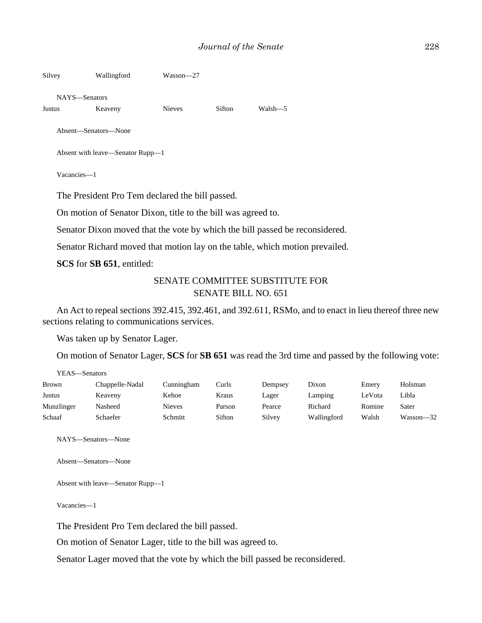| Silvey                                                       | Wallingford                      | Wasson-27     |        |         |  |  |  |  |
|--------------------------------------------------------------|----------------------------------|---------------|--------|---------|--|--|--|--|
|                                                              | NAYS—Senators                    |               |        |         |  |  |  |  |
| Justus                                                       | Keaveny                          | <b>Nieves</b> | Sifton | Walsh—5 |  |  |  |  |
|                                                              | Absent—Senators—None             |               |        |         |  |  |  |  |
|                                                              | Absent with leave—Senator Rupp—1 |               |        |         |  |  |  |  |
|                                                              | Vacancies-1                      |               |        |         |  |  |  |  |
| The President Pro Tem declared the bill passed.              |                                  |               |        |         |  |  |  |  |
| On motion of Senator Dixon, title to the bill was agreed to. |                                  |               |        |         |  |  |  |  |

Senator Dixon moved that the vote by which the bill passed be reconsidered.

Senator Richard moved that motion lay on the table, which motion prevailed.

**SCS** for **SB 651**, entitled:

# SENATE COMMITTEE SUBSTITUTE FOR SENATE BILL NO. 651

An Act to repeal sections 392.415, 392.461, and 392.611, RSMo, and to enact in lieu thereof three new sections relating to communications services.

Was taken up by Senator Lager.

On motion of Senator Lager, **SCS** for **SB 651** was read the 3rd time and passed by the following vote:

YEAS—Senators

| <b>Brown</b> | Chappelle-Nadal | Cunningham | Curls  | Dempsey | Dixon       | Emery  | Holsman   |
|--------------|-----------------|------------|--------|---------|-------------|--------|-----------|
| Justus       | Keaveny         | Kehoe      | Kraus  | Lager   | Lamping     | LeVota | Libla     |
| Munzlinger   | Nasheed         | Nieves     | Parson | Pearce  | Richard     | Romine | Sater     |
| Schaaf       | Schaefer        | Schmitt    | Sifton | Silvey  | Wallingford | Walsh  | Wasson-32 |

NAYS—Senators—None

Absent—Senators—None

Absent with leave—Senator Rupp—1

Vacancies—1

The President Pro Tem declared the bill passed.

On motion of Senator Lager, title to the bill was agreed to.

Senator Lager moved that the vote by which the bill passed be reconsidered.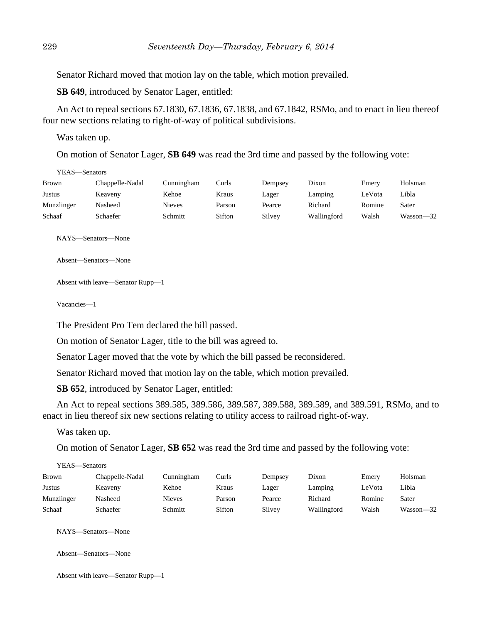Senator Richard moved that motion lay on the table, which motion prevailed.

**SB 649**, introduced by Senator Lager, entitled:

An Act to repeal sections 67.1830, 67.1836, 67.1838, and 67.1842, RSMo, and to enact in lieu thereof four new sections relating to right-of-way of political subdivisions.

Was taken up.

On motion of Senator Lager, **SB 649** was read the 3rd time and passed by the following vote:

YEAS—Senators

| <b>Brown</b> | Chappelle-Nadal | Cunningham | Curls  | Dempsey | Dixon       | Emerv  | Holsman   |
|--------------|-----------------|------------|--------|---------|-------------|--------|-----------|
| Justus       | Keaveny         | Kehoe      | Kraus  | Lager   | Lamping     | LeVota | Libla     |
| Munzlinger   | Nasheed         | Nieves     | Parson | Pearce  | Richard     | Romine | Sater     |
| Schaaf       | Schaefer        | Schmitt    | Sifton | Silvey  | Wallingford | Walsh  | Wasson-32 |

NAYS—Senators—None

Absent—Senators—None

Absent with leave—Senator Rupp—1

Vacancies—1

The President Pro Tem declared the bill passed.

On motion of Senator Lager, title to the bill was agreed to.

Senator Lager moved that the vote by which the bill passed be reconsidered.

Senator Richard moved that motion lay on the table, which motion prevailed.

**SB 652**, introduced by Senator Lager, entitled:

An Act to repeal sections 389.585, 389.586, 389.587, 389.588, 389.589, and 389.591, RSMo, and to enact in lieu thereof six new sections relating to utility access to railroad right-of-way.

Was taken up.

On motion of Senator Lager, **SB 652** was read the 3rd time and passed by the following vote:

YEAS—Senators

| <b>Brown</b> | Chappelle-Nadal | Cunningham    | Curls  | Dempsey | Dixon       | Emery  | Holsman   |
|--------------|-----------------|---------------|--------|---------|-------------|--------|-----------|
| Justus       | Keaveny         | Kehoe         | Kraus  | Lager   | Lamping     | LeVota | Libla     |
| Munzlinger   | Nasheed         | <b>Nieves</b> | Parson | Pearce  | Richard     | Romine | Sater     |
| Schaaf       | Schaefer        | Schmitt       | Sifton | Silvey  | Wallingford | Walsh  | Wasson—32 |

NAYS—Senators—None

Absent—Senators—None

```
Absent with leave—Senator Rupp—1
```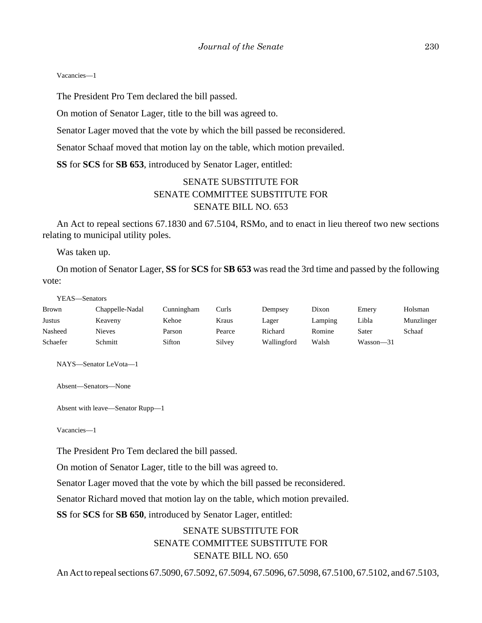#### Vacancies—1

The President Pro Tem declared the bill passed.

On motion of Senator Lager, title to the bill was agreed to.

Senator Lager moved that the vote by which the bill passed be reconsidered.

Senator Schaaf moved that motion lay on the table, which motion prevailed.

**SS** for **SCS** for **SB 653**, introduced by Senator Lager, entitled:

# SENATE SUBSTITUTE FOR SENATE COMMITTEE SUBSTITUTE FOR SENATE BILL NO. 653

An Act to repeal sections 67.1830 and 67.5104, RSMo, and to enact in lieu thereof two new sections relating to municipal utility poles.

Was taken up.

On motion of Senator Lager, **SS** for **SCS** for **SB 653** was read the 3rd time and passed by the following vote:

#### YEAS—Senators

| <b>Brown</b> | Chappelle-Nadal | Cunningham | Curls  | Dempsey     | Dixon   | Emery         | Holsman    |
|--------------|-----------------|------------|--------|-------------|---------|---------------|------------|
| Justus       | Keaveny         | Kehoe      | Kraus  | Lager       | Lamping | Libla         | Munzlinger |
| Nasheed      | <b>Nieves</b>   | Parson     | Pearce | Richard     | Romine  | Sater         | Schaaf     |
| Schaefer     | Schmitt         | Sifton     | Silvey | Wallingford | Walsh   | $Wasson - 31$ |            |

NAYS—Senator LeVota—1

Absent—Senators—None

Absent with leave—Senator Rupp—1

Vacancies—1

The President Pro Tem declared the bill passed.

On motion of Senator Lager, title to the bill was agreed to.

Senator Lager moved that the vote by which the bill passed be reconsidered.

Senator Richard moved that motion lay on the table, which motion prevailed.

**SS** for **SCS** for **SB 650**, introduced by Senator Lager, entitled:

# SENATE SUBSTITUTE FOR SENATE COMMITTEE SUBSTITUTE FOR SENATE BILL NO. 650

An Act to repeal sections 67.5090, 67.5092, 67.5094, 67.5096, 67.5098, 67.5100, 67.5102, and 67.5103,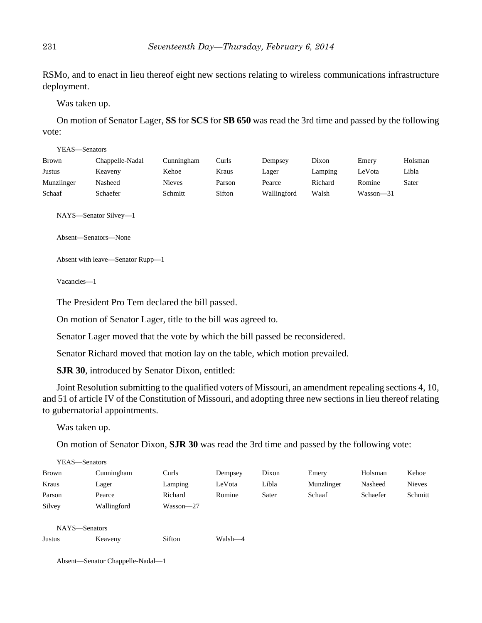RSMo, and to enact in lieu thereof eight new sections relating to wireless communications infrastructure deployment.

Was taken up.

On motion of Senator Lager, **SS** for **SCS** for **SB 650** was read the 3rd time and passed by the following vote:

| YEAS—Senators |                 |               |        |             |         |           |         |
|---------------|-----------------|---------------|--------|-------------|---------|-----------|---------|
| <b>Brown</b>  | Chappelle-Nadal | Cunningham    | Curls  | Dempsey     | Dixon   | Emery     | Holsman |
| Justus        | Keaveny         | Kehoe         | Kraus  | Lager       | Lamping | LeVota    | Libla   |
| Munzlinger    | Nasheed         | <b>Nieves</b> | Parson | Pearce      | Richard | Romine    | Sater   |
| Schaaf        | Schaefer        | Schmitt       | Sifton | Wallingford | Walsh   | Wasson-31 |         |

NAYS—Senator Silvey—1

Absent—Senators—None

Absent with leave—Senator Rupp—1

Vacancies—1

The President Pro Tem declared the bill passed.

On motion of Senator Lager, title to the bill was agreed to.

Senator Lager moved that the vote by which the bill passed be reconsidered.

Senator Richard moved that motion lay on the table, which motion prevailed.

**SJR 30**, introduced by Senator Dixon, entitled:

Joint Resolution submitting to the qualified voters of Missouri, an amendment repealing sections 4, 10, and 51 of article IV of the Constitution of Missouri, and adopting three new sections in lieu thereof relating to gubernatorial appointments.

Was taken up.

On motion of Senator Dixon, **SJR 30** was read the 3rd time and passed by the following vote:

| YEAS—Senators |             |           |         |       |            |          |               |
|---------------|-------------|-----------|---------|-------|------------|----------|---------------|
| Brown         | Cunningham  | Curls     | Dempsey | Dixon | Emery      | Holsman  | Kehoe         |
| Kraus         | Lager       | Lamping   | LeVota  | Libla | Munzlinger | Nasheed  | <b>Nieves</b> |
| Parson        | Pearce      | Richard   | Romine  | Sater | Schaaf     | Schaefer | Schmitt       |
| Silvey        | Wallingford | Wasson-27 |         |       |            |          |               |
| NAYS-Senators |             |           |         |       |            |          |               |
| <b>Justus</b> | Keaveny     | Sifton    | Walsh-4 |       |            |          |               |

Absent—Senator Chappelle-Nadal—1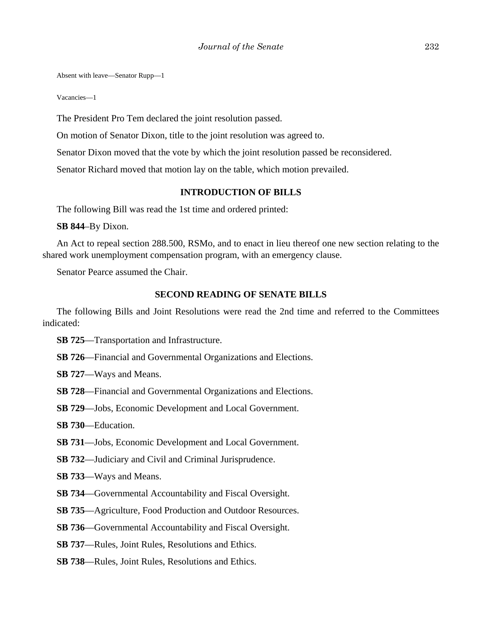Absent with leave—Senator Rupp—1

Vacancies—1

The President Pro Tem declared the joint resolution passed.

On motion of Senator Dixon, title to the joint resolution was agreed to.

Senator Dixon moved that the vote by which the joint resolution passed be reconsidered.

Senator Richard moved that motion lay on the table, which motion prevailed.

### **INTRODUCTION OF BILLS**

The following Bill was read the 1st time and ordered printed:

**SB 844**–By Dixon.

An Act to repeal section 288.500, RSMo, and to enact in lieu thereof one new section relating to the shared work unemployment compensation program, with an emergency clause.

Senator Pearce assumed the Chair.

### **SECOND READING OF SENATE BILLS**

The following Bills and Joint Resolutions were read the 2nd time and referred to the Committees indicated:

- **SB 725**––Transportation and Infrastructure.
- **SB 726**––Financial and Governmental Organizations and Elections.
- **SB 727**––Ways and Means.
- **SB 728**––Financial and Governmental Organizations and Elections.
- **SB 729**––Jobs, Economic Development and Local Government.
- **SB 730**––Education.
- **SB 731**––Jobs, Economic Development and Local Government.
- **SB 732**––Judiciary and Civil and Criminal Jurisprudence.
- **SB 733**––Ways and Means.
- **SB 734**—Governmental Accountability and Fiscal Oversight.
- **SB 735**––Agriculture, Food Production and Outdoor Resources.
- **SB 736**—Governmental Accountability and Fiscal Oversight.
- **SB 737**––Rules, Joint Rules, Resolutions and Ethics.
- **SB 738**––Rules, Joint Rules, Resolutions and Ethics.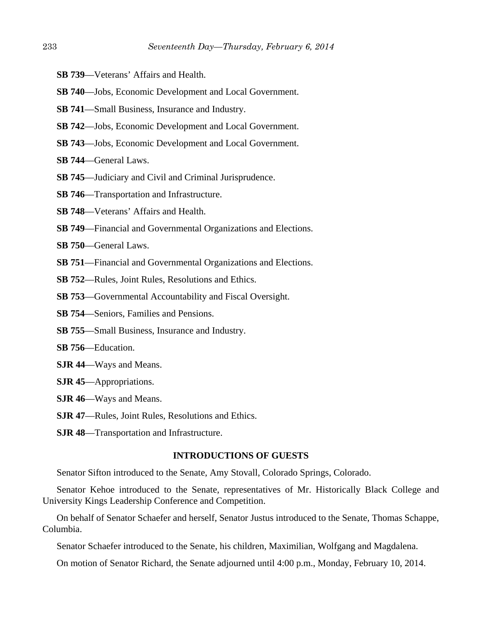- **SB 739**––Veterans' Affairs and Health.
- **SB 740**—Jobs, Economic Development and Local Government.
- **SB 741**––Small Business, Insurance and Industry.
- **SB 742**––Jobs, Economic Development and Local Government.
- **SB 743**––Jobs, Economic Development and Local Government.
- **SB 744**––General Laws.
- **SB 745**––Judiciary and Civil and Criminal Jurisprudence.
- **SB 746**––Transportation and Infrastructure.
- **SB 748**––Veterans' Affairs and Health.
- **SB 749**––Financial and Governmental Organizations and Elections.
- **SB 750—General Laws.**
- **SB 751**––Financial and Governmental Organizations and Elections.
- **SB 752**––Rules, Joint Rules, Resolutions and Ethics.
- **SB 753**––Governmental Accountability and Fiscal Oversight.
- **SB 754**––Seniors, Families and Pensions.
- **SB 755**––Small Business, Insurance and Industry.
- **SB 756**––Education.
- **SJR 44**—Ways and Means.
- **SJR 45**—Appropriations.
- **SJR 46**—Ways and Means.
- **SJR 47**—Rules, Joint Rules, Resolutions and Ethics.
- **SJR 48**—Transportation and Infrastructure.

### **INTRODUCTIONS OF GUESTS**

Senator Sifton introduced to the Senate, Amy Stovall, Colorado Springs, Colorado.

Senator Kehoe introduced to the Senate, representatives of Mr. Historically Black College and University Kings Leadership Conference and Competition.

On behalf of Senator Schaefer and herself, Senator Justus introduced to the Senate, Thomas Schappe, Columbia.

Senator Schaefer introduced to the Senate, his children, Maximilian, Wolfgang and Magdalena.

On motion of Senator Richard, the Senate adjourned until 4:00 p.m., Monday, February 10, 2014.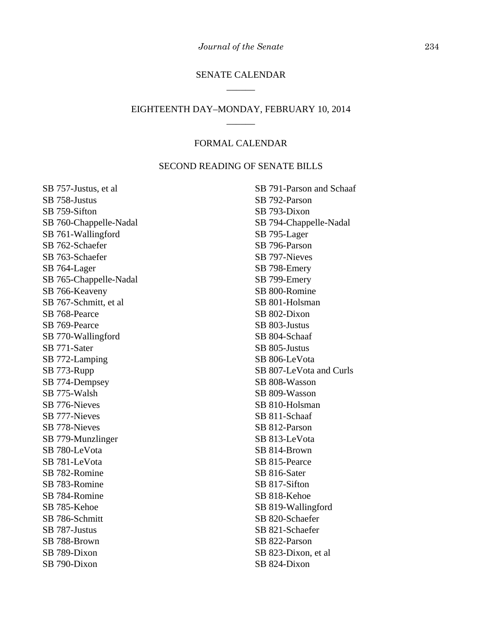# SENATE CALENDAR \_\_\_\_\_\_

# EIGHTEENTH DAY–MONDAY, FEBRUARY 10, 2014 \_\_\_\_\_\_

# FORMAL CALENDAR

### SECOND READING OF SENATE BILLS

SB 757-Justus, et al SB 758-Justus SB 759-Sifton SB 760-Chappelle-Nadal SB 761-Wallingford SB 762-Schaefer SB 763-Schaefer SB 764-Lager SB 765-Chappelle-Nadal SB 766-Keaveny SB 767-Schmitt, et al SB 768-Pearce SB 769-Pearce SB 770-Wallingford SB 771-Sater SB 772-Lamping SB 773-Rupp SB 774-Dempsey SB 775-Walsh SB 776-Nieves SB 777-Nieves SB 778-Nieves SB 779-Munzlinger SB 780-LeVota SB 781-LeVota SB 782-Romine SB 783-Romine SB 784-Romine SB 785-Kehoe SB 786-Schmitt SB 787-Justus SB 788-Brown SB 789-Dixon SB 790-Dixon

SB 791-Parson and Schaaf SB 792-Parson SB 793-Dixon SB 794-Chappelle-Nadal SB 795-Lager SB 796-Parson SB 797-Nieves SB 798-Emery SB 799-Emery SB 800-Romine SB 801-Holsman SB 802-Dixon SB 803-Justus SB 804-Schaaf SB 805-Justus SB 806-LeVota SB 807-LeVota and Curls SB 808-Wasson SB 809-Wasson SB 810-Holsman SB 811-Schaaf SB 812-Parson SB 813-LeVota SB 814-Brown SB 815-Pearce SB 816-Sater SB 817-Sifton SB 818-Kehoe SB 819-Wallingford SB 820-Schaefer SB 821-Schaefer SB 822-Parson SB 823-Dixon, et al SB 824-Dixon